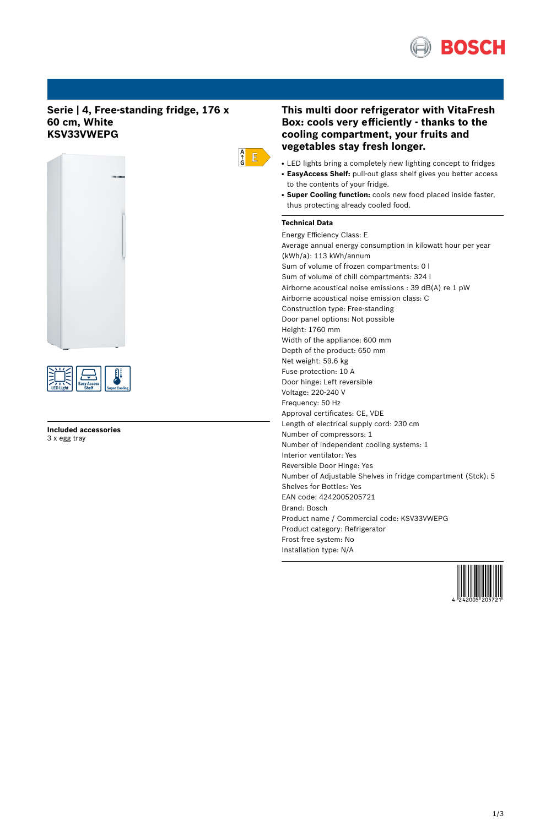

# **Serie | 4, Free-standing fridge, 176 x 60 cm, White KSV33VWEPG**





**Included accessories** 3 x egg tray

# **This multi door refrigerator with VitaFresh Box: cools very efficiently - thanks to the cooling compartment, your fruits and vegetables stay fresh longer.**

- LED lights bring a completely new lighting concept to fridges
- **EasyAccess Shelf:** pull-out glass shelf gives you better access to the contents of your fridge.
- **Super Cooling function:** cools new food placed inside faster, thus protecting already cooled food.

# **Technical Data**

 $\begin{array}{c} A \\ \uparrow \\ G \end{array}$   $E$ 

Energy Efficiency Class: E Average annual energy consumption in kilowatt hour per year (kWh/a): 113 kWh/annum Sum of volume of frozen compartments: 0 l Sum of volume of chill compartments: 324 l Airborne acoustical noise emissions : 39 dB(A) re 1 pW Airborne acoustical noise emission class: C Construction type: Free-standing Door panel options: Not possible Height: 1760 mm Width of the appliance: 600 mm Depth of the product: 650 mm Net weight: 59.6 kg Fuse protection: 10 A Door hinge: Left reversible Voltage: 220-240 V Frequency: 50 Hz Approval certificates: CE, VDE Length of electrical supply cord: 230 cm Number of compressors: 1 Number of independent cooling systems: 1 Interior ventilator: Yes Reversible Door Hinge: Yes Number of Adjustable Shelves in fridge compartment (Stck): 5 Shelves for Bottles: Yes EAN code: 4242005205721 Brand: Bosch Product name / Commercial code: KSV33VWEPG Product category: Refrigerator Frost free system: No Installation type: N/A

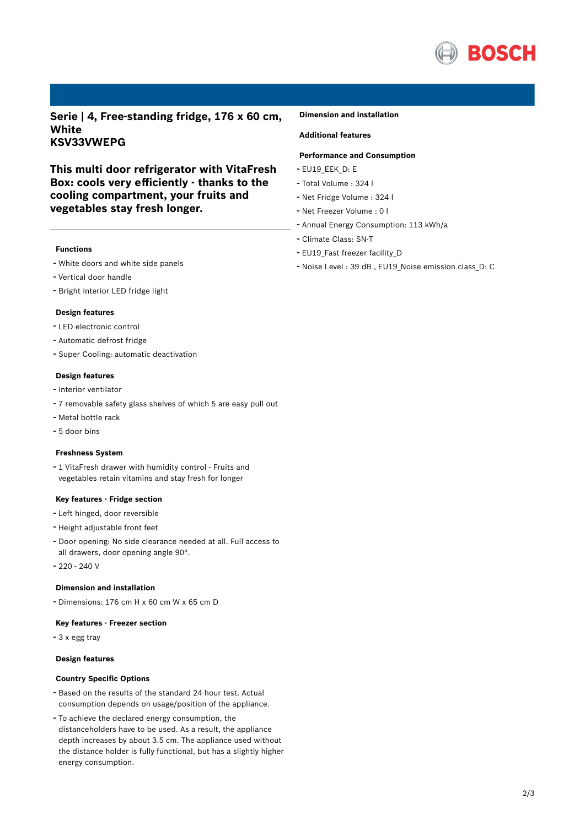

**Serie | 4, Free-standing fridge, 176 x 60 cm, White KSV33VWEPG**

**This multi door refrigerator with VitaFresh Box: cools very efficiently - thanks to the cooling compartment, your fruits and vegetables stay fresh longer.**

## **Functions**

- White doors and white side panels
- Vertical door handle
- Bright interior LED fridge light

#### **Design features**

- LED electronic control
- Automatic defrost fridge
- Super Cooling: automatic deactivation

### **Design features**

- Interior ventilator
- <sup>7</sup> removable safety glass shelves of which <sup>5</sup> are easy pull out
- Metal bottle rack
- 5 door bins

#### **Freshness System**

- <sup>1</sup> VitaFresh drawer with humidity control - Fruits and vegetables retain vitamins and stay fresh for longer

## **Key features - Fridge section**

- Left hinged, door reversible
- Height adjustable front feet
- Door opening: No side clearance needed at all. Full access to all drawers, door opening angle 90°.
- $-220 240$  V

## **Dimension and installation**

- Dimensions: 176 cm H x 60 cm W x 65 cm D

#### **Key features - Freezer section**

- <sup>3</sup> <sup>x</sup> egg tray

# **Design features**

### **Country Specific Options**

- Based on the results of the standard 24-hour test. Actual consumption depends on usage/position of the appliance.
- To achieve the declared energy consumption, the distanceholders have to be used. As a result, the appliance depth increases by about 3.5 cm. The appliance used without the distance holder is fully functional, but has a slightly higher energy consumption.

#### **Dimension and installation**

# **Additional features**

## **Performance and Consumption**

- EU19\_EEK\_D: E
- Total Volume : <sup>324</sup> <sup>l</sup>
- Net Fridge Volume : <sup>324</sup> <sup>l</sup>
- Net Freezer Volume : <sup>0</sup> <sup>l</sup>
- Annual Energy Consumption: <sup>113</sup> kWh/a
- Climate Class: SN-T
- EU19\_Fast freezer facility\_D
- Noise Level : <sup>39</sup> dB , EU19\_Noise emission class\_D: <sup>C</sup>